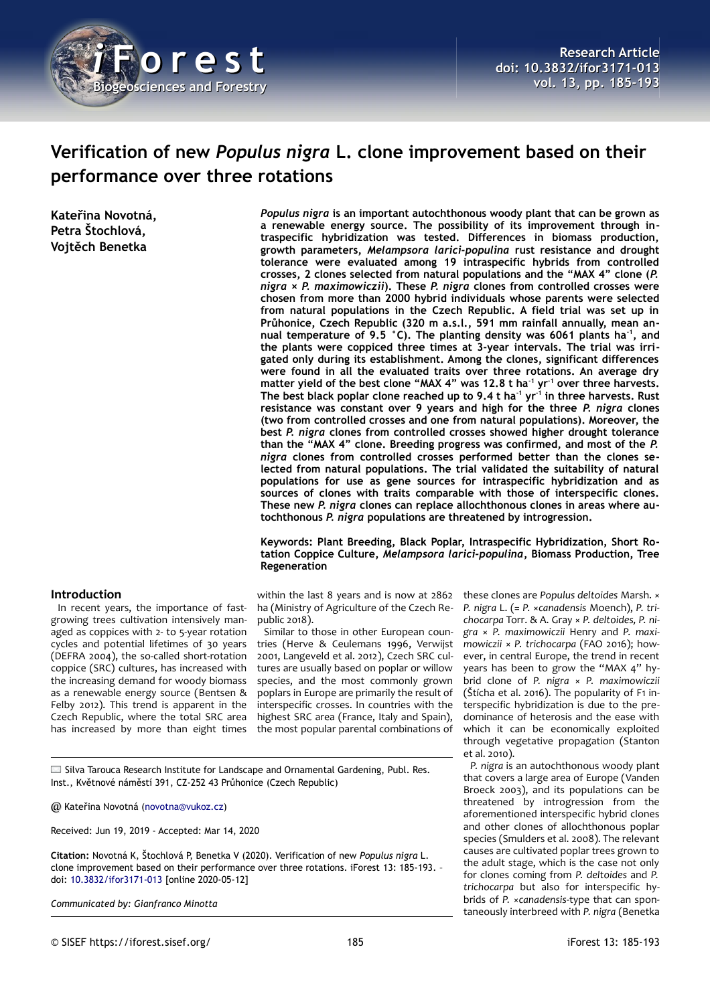

# **Verification of new** *Populus nigra* **L. clone improvement based on their performance over three rotations**

**Kateřina Novotná, Petra Štochlová, Vojtěch Benetka**

# **Introduction**

In recent years, the importance of fastgrowing trees cultivation intensively managed as coppices with 2- to 5-year rotation cycles and potential lifetimes of 30 years (DEFRA 2004), the so-called short-rotation coppice (SRC) cultures, has increased with the increasing demand for woody biomass as a renewable energy source (Bentsen & Felby 2012). This trend is apparent in the Czech Republic, where the total SRC area has increased by more than eight times

*Populus nigra* **is an important autochthonous woody plant that can be grown as a renewable energy source. The possibility of its improvement through intraspecific hybridization was tested. Differences in biomass production, growth parameters,** *Melampsora larici-populina* **rust resistance and drought tolerance were evaluated among 19 intraspecific hybrids from controlled crosses, 2 clones selected from natural populations and the "MAX 4" clone (***P. nigra* **×** *P. maximowiczii***). These** *P. nigra* **clones from controlled crosses were chosen from more than 2000 hybrid individuals whose parents were selected from natural populations in the Czech Republic. A field trial was set up in Průhonice, Czech Republic (320 m a.s.l., 591 mm rainfall annually, mean annual temperature of 9.5 °C). The planting density was 6061 plants ha-1, and the plants were coppiced three times at 3-year intervals. The trial was irrigated only during its establishment. Among the clones, significant differences were found in all the evaluated traits over three rotations. An average dry matter yield of the best clone "MAX 4" was 12.8 t ha-1 yr-1 over three harvests. The best black poplar clone reached up to 9.4 t ha-1 yr-1 in three harvests. Rust resistance was constant over 9 years and high for the three** *P. nigra* **clones (two from controlled crosses and one from natural populations). Moreover, the best** *P. nigra* **clones from controlled crosses showed higher drought tolerance than the "MAX 4" clone. Breeding progress was confirmed, and most of the** *P. nigra* **clones from controlled crosses performed better than the clones selected from natural populations. The trial validated the suitability of natural populations for use as gene sources for intraspecific hybridization and as sources of clones with traits comparable with those of interspecific clones. These new** *P. nigra* **clones can replace allochthonous clones in areas where autochthonous** *P. nigra* **populations are threatened by introgression.**

### **Keywords: Plant Breeding, Black Poplar, Intraspecific Hybridization, Short Rotation Coppice Culture,** *Melampsora larici-populina***, Biomass Production, Tree Regeneration**

within the last 8 years and is now at 2862 ha (Ministry of Agriculture of the Czech Republic 2018).

Similar to those in other European countries (Herve & Ceulemans 1996, Verwijst 2001, Langeveld et al. 2012), Czech SRC cultures are usually based on poplar or willow species, and the most commonly grown poplars in Europe are primarily the result of interspecific crosses. In countries with the highest SRC area (France, Italy and Spain), the most popular parental combinations of

these clones are *Populus deltoides* Marsh. × *P. nigra* L. (= *P.* ×*canadensis* Moench), *P. trichocarpa* Torr. & A. Gray × *P. deltoides, P. nigra* × *P. maximowiczii* Henry and *P. maximowiczii* × *P. trichocarpa* (FAO 2016); however, in central Europe, the trend in recent years has been to grow the "MAX 4" hybrid clone of *P. nigra* × *P. maximowiczii* (Štícha et al. 2016). The popularity of F1 interspecific hybridization is due to the predominance of heterosis and the ease with which it can be economically exploited through vegetative propagation (Stanton et al. 2010).

*P. nigra* is an autochthonous woody plant that covers a large area of Europe (Vanden Broeck 2003), and its populations can be threatened by introgression from the aforementioned interspecific hybrid clones and other clones of allochthonous poplar species (Smulders et al. 2008). The relevant causes are cultivated poplar trees grown to the adult stage, which is the case not only for clones coming from *P. deltoides* and *P. trichocarpa* but also for interspecific hybrids of *P.* ×*canadensis*-type that can spontaneously interbreed with *P. nigra* (Benetka

Silva Tarouca Research Institute for Landscape and Ornamental Gardening, Publ. Res. Inst., Květnové náměstí 391, CZ-252 43 Průhonice (Czech Republic)

@ Kateřina Novotná [\(novotna@vukoz.cz\)](mailto:novotna@vukoz.cz)

Received: Jun 19, 2019 - Accepted: Mar 14, 2020

**Citation:** Novotná K, Štochlová P, Benetka V (2020). Verification of new *Populus nigra* L. clone improvement based on their performance over three rotations. iForest 13: 185-193. – doi: [10.3832/ifor3171-013](http://www.sisef.it/iforest/contents/?id=ifor3171-013) [online 2020-05-12]

*Communicated by: Gianfranco Minotta*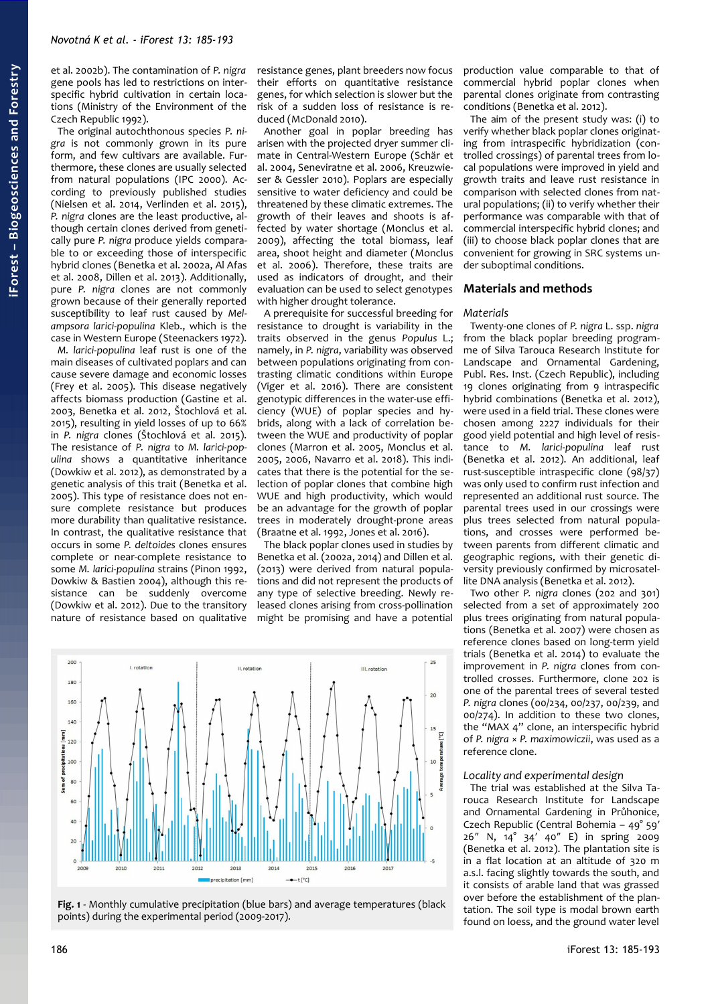et al. 2002b). The contamination of *P. nigra* gene pools has led to restrictions on interspecific hybrid cultivation in certain locations (Ministry of the Environment of the Czech Republic 1992).

The original autochthonous species *P. nigra* is not commonly grown in its pure form, and few cultivars are available. Furthermore, these clones are usually selected from natural populations (IPC 2000). According to previously published studies (Nielsen et al. 2014, Verlinden et al. 2015), *P. nigra* clones are the least productive, although certain clones derived from genetically pure *P. nigra* produce yields comparable to or exceeding those of interspecific hybrid clones (Benetka et al. 2002a, Al Afas et al. 2008, Dillen et al. 2013). Additionally, pure *P. nigra* clones are not commonly grown because of their generally reported susceptibility to leaf rust caused by *Melampsora larici-populina* Kleb., which is the case in Western Europe (Steenackers 1972).

*M. larici-populina* leaf rust is one of the main diseases of cultivated poplars and can cause severe damage and economic losses (Frey et al. 2005). This disease negatively affects biomass production (Gastine et al. 2003, Benetka et al. 2012, Štochlová et al. 2015), resulting in yield losses of up to 66% in *P. nigra* clones (Štochlová et al. 2015). The resistance of *P. nigra* to *M. larici-populina* shows a quantitative inheritance (Dowkiw et al. 2012), as demonstrated by a genetic analysis of this trait (Benetka et al. 2005). This type of resistance does not ensure complete resistance but produces more durability than qualitative resistance. In contrast, the qualitative resistance that occurs in some *P. deltoides* clones ensures complete or near-complete resistance to some *M. larici-populina* strains (Pinon 1992, Dowkiw & Bastien 2004), although this resistance can be suddenly overcome (Dowkiw et al. 2012). Due to the transitory nature of resistance based on qualitative

resistance genes, plant breeders now focus their efforts on quantitative resistance genes, for which selection is slower but the risk of a sudden loss of resistance is reduced (McDonald 2010).

Another goal in poplar breeding has arisen with the projected dryer summer climate in Central-Western Europe (Schär et al. 2004, Seneviratne et al. 2006, Kreuzwieser & Gessler 2010). Poplars are especially sensitive to water deficiency and could be threatened by these climatic extremes. The growth of their leaves and shoots is affected by water shortage (Monclus et al. 2009), affecting the total biomass, leaf area, shoot height and diameter (Monclus et al. 2006). Therefore, these traits are used as indicators of drought, and their evaluation can be used to select genotypes with higher drought tolerance.

A prerequisite for successful breeding for resistance to drought is variability in the traits observed in the genus *Populus* L.; namely, in *P. nigra*, variability was observed between populations originating from contrasting climatic conditions within Europe (Viger et al. 2016). There are consistent genotypic differences in the water-use efficiency (WUE) of poplar species and hybrids, along with a lack of correlation between the WUE and productivity of poplar clones (Marron et al. 2005, Monclus et al. 2005, 2006, Navarro et al. 2018). This indicates that there is the potential for the selection of poplar clones that combine high WUE and high productivity, which would be an advantage for the growth of poplar trees in moderately drought-prone areas (Braatne et al. 1992, Jones et al. 2016).

The black poplar clones used in studies by Benetka et al. (2002a, 2014) and Dillen et al. (2013) were derived from natural populations and did not represent the products of any type of selective breeding. Newly released clones arising from cross-pollination might be promising and have a potential



<span id="page-1-0"></span>

production value comparable to that of commercial hybrid poplar clones when parental clones originate from contrasting conditions (Benetka et al. 2012).

The aim of the present study was: (i) to verify whether black poplar clones originating from intraspecific hybridization (controlled crossings) of parental trees from local populations were improved in yield and growth traits and leave rust resistance in comparison with selected clones from natural populations; (ii) to verify whether their performance was comparable with that of commercial interspecific hybrid clones; and (iii) to choose black poplar clones that are convenient for growing in SRC systems under suboptimal conditions.

#### **Materials and methods**

#### *Materials*

Twenty-one clones of *P. nigra* L. ssp. *nigra* from the black poplar breeding programme of Silva Tarouca Research Institute for Landscape and Ornamental Gardening, Publ. Res. Inst. (Czech Republic), including 19 clones originating from 9 intraspecific hybrid combinations (Benetka et al. 2012), were used in a field trial. These clones were chosen among 2227 individuals for their good yield potential and high level of resistance to *M. larici-populina* leaf rust (Benetka et al. 2012). An additional, leaf rust-susceptible intraspecific clone (98/37) was only used to confirm rust infection and represented an additional rust source. The parental trees used in our crossings were plus trees selected from natural populations, and crosses were performed between parents from different climatic and geographic regions, with their genetic diversity previously confirmed by microsatellite DNA analysis (Benetka et al. 2012).

Two other *P. nigra* clones (202 and 301) selected from a set of approximately 200 plus trees originating from natural populations (Benetka et al. 2007) were chosen as reference clones based on long-term yield trials (Benetka et al. 2014) to evaluate the improvement in *P. nigra* clones from controlled crosses. Furthermore, clone 202 is one of the parental trees of several tested *P. nigra* clones (00/234, 00/237, 00/239, and 00/274). In addition to these two clones, the "MAX 4" clone, an interspecific hybrid of *P. nigra* × *P. maximowiczii*, was used as a reference clone.

#### *Locality and experimental design*

The trial was established at the Silva Tarouca Research Institute for Landscape and Ornamental Gardening in Průhonice, Czech Republic (Central Bohemia – 49° 59′ 26″ N, 14° 34′ 40″ E) in spring 2009 (Benetka et al. 2012). The plantation site is in a flat location at an altitude of 320 m a.s.l. facing slightly towards the south, and it consists of arable land that was grassed over before the establishment of the plantation. The soil type is modal brown earth found on loess, and the ground water level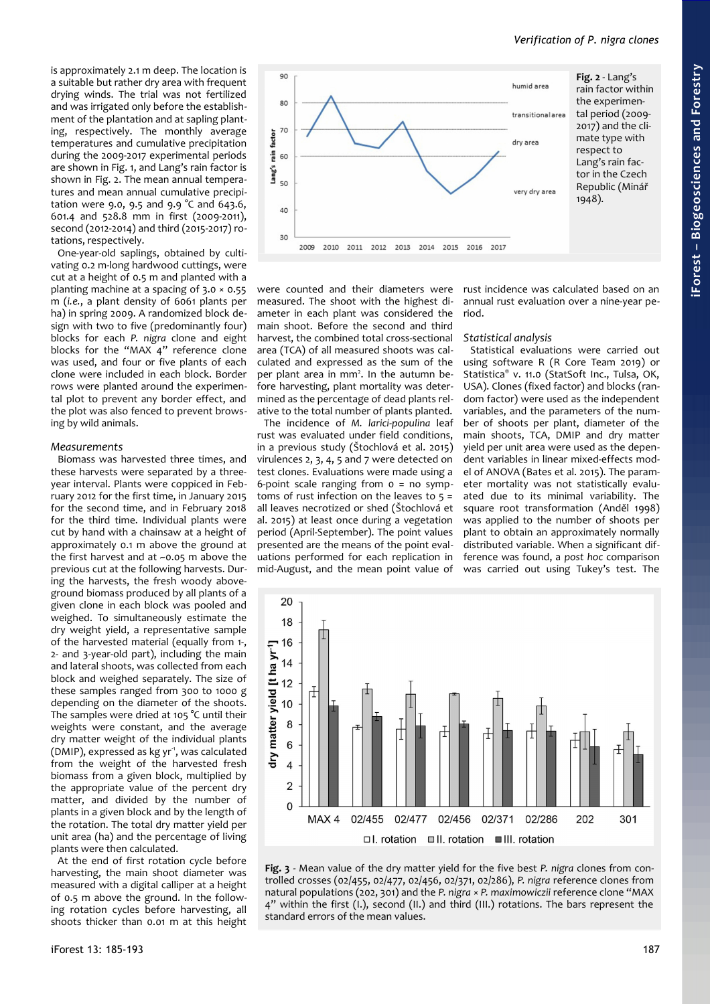is approximately 2.1 m deep. The location is a suitable but rather dry area with frequent drying winds. The trial was not fertilized and was irrigated only before the establishment of the plantation and at sapling planting, respectively. The monthly average temperatures and cumulative precipitation during the 2009-2017 experimental periods are shown in [Fig. 1,](#page-1-0) and Lang's rain factor is shown in [Fig. 2.](#page-2-0) The mean annual temperatures and mean annual cumulative precipitation were 9.0, 9.5 and 9.9 °C and 643.6, 601.4 and 528.8 mm in first (2009-2011), second (2012-2014) and third (2015-2017) rotations, respectively.

One-year-old saplings, obtained by cultivating 0.2 m-long hardwood cuttings, were cut at a height of 0.5 m and planted with a planting machine at a spacing of 3.0 × 0.55 m (*i.e.*, a plant density of 6061 plants per ha) in spring 2009. A randomized block design with two to five (predominantly four) blocks for each *P. nigra* clone and eight blocks for the "MAX 4" reference clone was used, and four or five plants of each clone were included in each block. Border rows were planted around the experimental plot to prevent any border effect, and the plot was also fenced to prevent browsing by wild animals.

#### *Measurements*

Biomass was harvested three times, and these harvests were separated by a threeyear interval. Plants were coppiced in February 2012 for the first time, in January 2015 for the second time, and in February 2018 for the third time. Individual plants were cut by hand with a chainsaw at a height of approximately 0.1 m above the ground at the first harvest and at  $~0.05$  m above the previous cut at the following harvests. During the harvests, the fresh woody aboveground biomass produced by all plants of a given clone in each block was pooled and weighed. To simultaneously estimate the dry weight yield, a representative sample of the harvested material (equally from 1-, 2- and 3-year-old part), including the main and lateral shoots, was collected from each block and weighed separately. The size of these samples ranged from 300 to 1000 g depending on the diameter of the shoots. The samples were dried at 105 °C until their weights were constant, and the average dry matter weight of the individual plants (DMIP), expressed as kg yr<sup>-1</sup>, was calculated from the weight of the harvested fresh biomass from a given block, multiplied by the appropriate value of the percent dry matter, and divided by the number of plants in a given block and by the length of the rotation. The total dry matter yield per unit area (ha) and the percentage of living plants were then calculated.

At the end of first rotation cycle before harvesting, the main shoot diameter was measured with a digital calliper at a height of 0.5 m above the ground. In the following rotation cycles before harvesting, all shoots thicker than 0.01 m at this height

iForest 13: 185-193 187



were counted and their diameters were measured. The shoot with the highest diameter in each plant was considered the main shoot. Before the second and third harvest, the combined total cross-sectional area (TCA) of all measured shoots was calculated and expressed as the sum of the per plant area in mm<sup>2</sup>. In the autumn before harvesting, plant mortality was determined as the percentage of dead plants relative to the total number of plants planted.

The incidence of *M. larici-populina* leaf rust was evaluated under field conditions, in a previous study (Štochlová et al. 2015) virulences 2, 3, 4, 5 and 7 were detected on test clones. Evaluations were made using a 6-point scale ranging from 0 = no symptoms of rust infection on the leaves to  $5 =$ all leaves necrotized or shed (Štochlová et al. 2015) at least once during a vegetation period (April-September). The point values presented are the means of the point evaluations performed for each replication in mid-August, and the mean point value of

<span id="page-2-0"></span>rust incidence was calculated based on an annual rust evaluation over a nine-year period.

#### *Statistical analysis*

Statistical evaluations were carried out using software R (R Core Team 2019) or Statistica® v. 11.0 (StatSoft Inc., Tulsa, OK, USA). Clones (fixed factor) and blocks (random factor) were used as the independent variables, and the parameters of the number of shoots per plant, diameter of the main shoots, TCA, DMIP and dry matter yield per unit area were used as the dependent variables in linear mixed-effects model of ANOVA (Bates et al. 2015). The parameter mortality was not statistically evaluated due to its minimal variability. The square root transformation (Anděl 1998) was applied to the number of shoots per plant to obtain an approximately normally distributed variable. When a significant difference was found, a *post hoc* comparison was carried out using Tukey's test. The



<span id="page-2-1"></span>**Fig. 3** - Mean value of the dry matter yield for the five best *P. nigra* clones from controlled crosses (02/455, 02/477, 02/456, 02/371, 02/286), *P. nigra* reference clones from natural populations (202, 301) and the *P. nigra* × *P. maximowiczii* reference clone "MAX 4" within the first (I.), second (II.) and third (III.) rotations. The bars represent the standard errors of the mean values.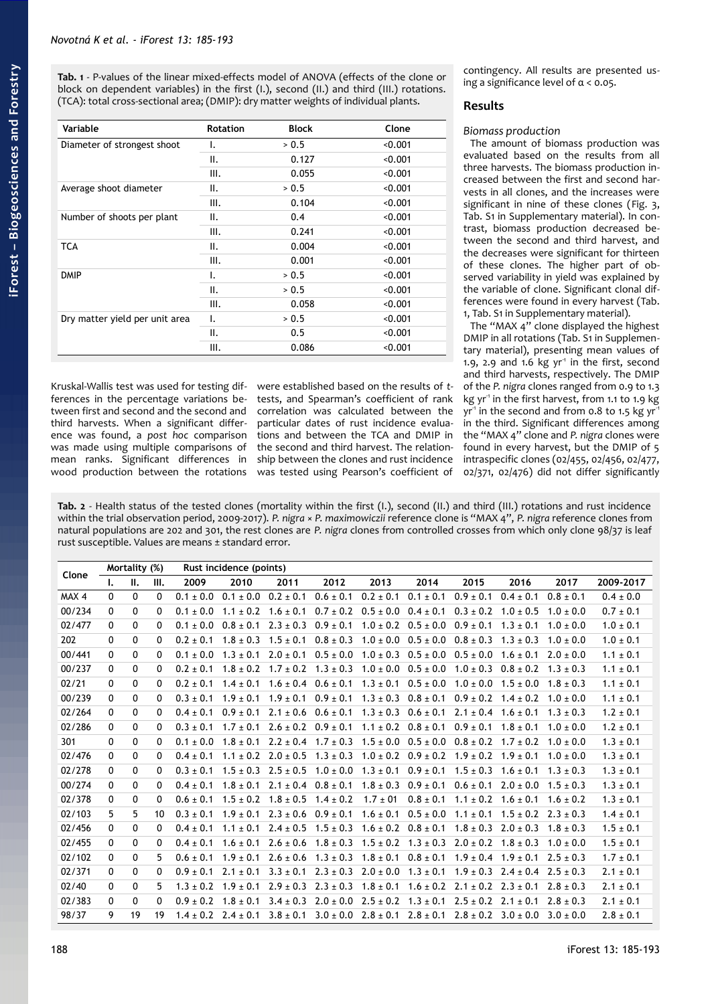<span id="page-3-0"></span>**Tab. 1** - P-values of the linear mixed-effects model of ANOVA (effects of the clone or block on dependent variables) in the first (I.), second (II.) and third (III.) rotations. (TCA): total cross-sectional area; (DMIP): dry matter weights of individual plants.

| Variable                       | <b>Rotation</b> | <b>Block</b> | Clone   |
|--------------------------------|-----------------|--------------|---------|
| Diameter of strongest shoot    | ۱.              | > 0.5        | < 0.001 |
|                                | ΙΙ.             | 0.127        | < 0.001 |
|                                | Ш.              | 0.055        | < 0.001 |
| Average shoot diameter         | ΙΙ.             | > 0.5        | < 0.001 |
|                                | Ш.              | 0.104        | < 0.001 |
| Number of shoots per plant     | ΙΙ.             | 0.4          | < 0.001 |
|                                | Ш.              | 0.241        | < 0.001 |
| <b>TCA</b>                     | ΙΙ.             | 0.004        | < 0.001 |
|                                | III.            | 0.001        | < 0.001 |
| <b>DMIP</b>                    | ı.              | > 0.5        | < 0.001 |
|                                | ΙΙ.             | > 0.5        | < 0.001 |
|                                | III.            | 0.058        | < 0.001 |
| Dry matter yield per unit area | ۱.              | > 0.5        | < 0.001 |
|                                | ΙΙ.             | 0.5          | < 0.001 |
|                                | Ш.              | 0.086        | < 0.001 |

Kruskal-Wallis test was used for testing differences in the percentage variations between first and second and the second and third harvests. When a significant difference was found, a *post hoc* comparison was made using multiple comparisons of mean ranks. Significant differences in wood production between the rotations were established based on the results of *t*tests, and Spearman's coefficient of rank correlation was calculated between the particular dates of rust incidence evaluations and between the TCA and DMIP in the second and third harvest. The relationship between the clones and rust incidence was tested using Pearson's coefficient of

contingency. All results are presented using a significance level of  $\alpha$  < 0.05.

# **Results**

# *Biomass production*

The amount of biomass production was evaluated based on the results from all three harvests. The biomass production increased between the first and second harvests in all clones, and the increases were significant in nine of these clones [\(Fig. 3,](#page-2-1) Tab. S1 in Supplementary material). In contrast, biomass production decreased between the second and third harvest, and the decreases were significant for thirteen of these clones. The higher part of observed variability in yield was explained by the variable of clone. Significant clonal differences were found in every harvest [\(Tab.](#page-3-0) [1,](#page-3-0) Tab. S1 in Supplementary material).

The "MAX  $4$ " clone displayed the highest DMIP in all rotations (Tab. S1 in Supplementary material), presenting mean values of 1.9, 2.9 and 1.6 kg  $yr<sup>1</sup>$  in the first, second and third harvests, respectively. The DMIP of the *P. nigra* clones ranged from 0.9 to 1.3 kg yr<sup>1</sup> in the first harvest, from 1.1 to 1.9 kg  $yr<sup>-1</sup>$  in the second and from 0.8 to 1.5 kg  $yr<sup>-1</sup>$ in the third. Significant differences among the "MAX 4" clone and *P. nigra* clones were found in every harvest, but the DMIP of 5 intraspecific clones (02/455, 02/456, 02/477, 02/371, 02/476) did not differ significantly

<span id="page-3-1"></span>**Tab. 2** - Health status of the tested clones (mortality within the first (I.), second (II.) and third (III.) rotations and rust incidence within the trial observation period, 2009-2017). *P. nigra* × *P. maximowiczii* reference clone is "MAX 4", *P. nigra* reference clones from natural populations are 202 and 301, the rest clones are *P. nigra* clones from controlled crosses from which only clone 98/37 is leaf rust susceptible. Values are means ± standard error.

| Clone  |              | Mortality (%) |              | Rust incidence (points) |                             |                                           |               |               |               |                                           |                                                                                                                               |               |               |
|--------|--------------|---------------|--------------|-------------------------|-----------------------------|-------------------------------------------|---------------|---------------|---------------|-------------------------------------------|-------------------------------------------------------------------------------------------------------------------------------|---------------|---------------|
|        | $\mathbf{L}$ | Ш.            | Ш.           | 2009                    | 2010                        | 2011                                      | 2012          | 2013          | 2014          | 2015                                      | 2016                                                                                                                          | 2017          | 2009-2017     |
| MAX 4  | $\mathbf{0}$ | $\mathbf{0}$  | 0            | $0.1 \pm 0.0$           | $0.1 \pm 0.0$               | $0.2 \pm 0.1$                             | $0.6 \pm 0.1$ | $0.2 \pm 0.1$ | $0.1 \pm 0.1$ | $0.9 \pm 0.1$                             | $0.4 \pm 0.1$                                                                                                                 | $0.8 \pm 0.1$ | $0.4 \pm 0.0$ |
| 00/234 | $\mathbf{0}$ | $\mathbf{0}$  | $\mathbf{0}$ | $0.1 \pm 0.0$           | $1.1 \pm 0.2$ $1.6 \pm 0.1$ |                                           | $0.7 \pm 0.2$ | $0.5 \pm 0.0$ | $0.4 \pm 0.1$ | $0.3 \pm 0.2$                             | $1.0 \pm 0.5$                                                                                                                 | $1.0 \pm 0.0$ | $0.7 \pm 0.1$ |
| 02/477 | $\mathbf{0}$ | $\Omega$      | 0            | $0.1 \pm 0.0$           | $0.8 \pm 0.1$               | $2.3 \pm 0.3$                             | $0.9 \pm 0.1$ | $1.0 \pm 0.2$ | $0.5 \pm 0.0$ | $0.9 \pm 0.1$                             | $1.3 \pm 0.1$                                                                                                                 | $1.0 \pm 0.0$ | $1.0 \pm 0.1$ |
| 202    | $\mathbf{0}$ | $\mathbf 0$   | $\mathbf{0}$ | $0.2 \pm 0.1$           | $1.8 \pm 0.3$               | $1.5 \pm 0.1$                             | $0.8 \pm 0.3$ | $1.0 \pm 0.0$ | $0.5 \pm 0.0$ | $0.8 \pm 0.3$                             | $1.3 \pm 0.3$                                                                                                                 | $1.0 \pm 0.0$ | $1.0 \pm 0.1$ |
| 00/441 | $\mathbf{0}$ | $\Omega$      | 0            | $0.1 \pm 0.0$           | $1.3 \pm 0.1$               | $2.0 \pm 0.1$                             | $0.5 \pm 0.0$ | $1.0 \pm 0.3$ | $0.5 \pm 0.0$ | $0.5 \pm 0.0$                             | $1.6 \pm 0.1$                                                                                                                 | $2.0 \pm 0.0$ | $1.1 \pm 0.1$ |
| 00/237 | $\mathbf{0}$ | 0             | 0            | $0.2 + 0.1$             |                             | $1.8 \pm 0.2$ $1.7 \pm 0.2$ $1.3 \pm 0.3$ |               | $1.0 \pm 0.0$ | $0.5 \pm 0.0$ | $1.0 \pm 0.3$                             | $0.8 \pm 0.2$                                                                                                                 | $1.3 \pm 0.3$ | $1.1 \pm 0.1$ |
| 02/21  | 0            | $\Omega$      | 0            | $0.2 + 0.1$             | $1.4 \pm 0.1$               | $1.6 \pm 0.4$ $0.6 \pm 0.1$               |               | $1.3 \pm 0.1$ | $0.5 \pm 0.0$ |                                           | $1.0 \pm 0.0$ $1.5 \pm 0.0$                                                                                                   | $1.8 \pm 0.3$ | $1.1 \pm 0.1$ |
| 00/239 | $\mathbf{0}$ | 0             | 0            | $0.3 + 0.1$             | $1.9 \pm 0.1$               | $1.9 \pm 0.1$                             | $0.9 \pm 0.1$ | $1.3 \pm 0.3$ | $0.8 \pm 0.1$ |                                           | $0.9 \pm 0.2$ 1.4 $\pm$ 0.2                                                                                                   | $1.0 \pm 0.0$ | $1.1 \pm 0.1$ |
| 02/264 | $\Omega$     | 0             | 0            | $0.4 \pm 0.1$           | $0.9 \pm 0.1$               | $2.1 \pm 0.6$                             | $0.6 \pm 0.1$ | $1.3 \pm 0.3$ | $0.6 \pm 0.1$ |                                           | $2.1 \pm 0.4$ 1.6 $\pm$ 0.1                                                                                                   | $1.3 \pm 0.3$ | $1.2 \pm 0.1$ |
| 02/286 | $\mathbf{0}$ | $\mathbf 0$   | 0            | $0.3 \pm 0.1$           | $1.7 \pm 0.1$               | $2.6 \pm 0.2$ $0.9 \pm 0.1$               |               | $1.1 \pm 0.2$ | $0.8 \pm 0.1$ | $0.9 \pm 0.1$                             | $1.8 \pm 0.1$                                                                                                                 | $1.0 \pm 0.0$ | $1.2 \pm 0.1$ |
| 301    | $\Omega$     | $\mathbf 0$   | 0            | $0.1 \pm 0.0$           | $1.8 \pm 0.1$               | $2.2 \pm 0.4$                             | $1.7 \pm 0.3$ | $1.5 \pm 0.0$ | $0.5 \pm 0.0$ |                                           | $0.8 \pm 0.2$ 1.7 $\pm$ 0.2                                                                                                   | $1.0 \pm 0.0$ | $1.3 \pm 0.1$ |
| 02/476 | $\mathbf{0}$ | 0             | 0            | $0.4 \pm 0.1$           |                             | $1.1 \pm 0.2$ $2.0 \pm 0.5$               | $1.3 \pm 0.3$ | $1.0 \pm 0.2$ | $0.9 \pm 0.2$ | $1.9 \pm 0.2$ $1.9 \pm 0.1$               |                                                                                                                               | $1.0 \pm 0.0$ | $1.3 \pm 0.1$ |
| 02/278 | $\mathbf{0}$ | $\mathbf 0$   | 0            | $0.3 \pm 0.1$           | $1.5 \pm 0.3$               | $2.5 \pm 0.5$                             | $1.0 \pm 0.0$ | $1.3 \pm 0.1$ | $0.9 \pm 0.1$ | $1.5 \pm 0.3$                             | $1.6 \pm 0.1$                                                                                                                 | $1.3 \pm 0.3$ | $1.3 \pm 0.1$ |
| 00/274 | $\Omega$     | $\mathbf{0}$  | 0            | $0.4 \pm 0.1$           | $1.8 \pm 0.1$               | $2.1 \pm 0.4$                             | $0.8 \pm 0.1$ | $1.8 \pm 0.3$ | $0.9 \pm 0.1$ | $0.6 \pm 0.1$                             | $2.0 \pm 0.0$                                                                                                                 | $1.5 \pm 0.3$ | $1.3 \pm 0.1$ |
| 02/378 | $\mathbf{0}$ | 0             | 0            | $0.6 \pm 0.1$           |                             | $1.5 \pm 0.2$ $1.8 \pm 0.5$               | $1.4 \pm 0.2$ | $1.7 \pm 01$  | $0.8 \pm 0.1$ |                                           | $1.1 \pm 0.2$ $1.6 \pm 0.1$                                                                                                   | $1.6 \pm 0.2$ | $1.3 \pm 0.1$ |
| 02/103 | 5            | 5             | 10           | $0.3 \pm 0.1$           | $1.9 \pm 0.1$               | $2.3 \pm 0.6$ 0.9 $\pm$ 0.1               |               | $1.6 \pm 0.1$ |               |                                           | $0.5 \pm 0.0$ $1.1 \pm 0.1$ $1.5 \pm 0.2$ $2.3 \pm 0.3$                                                                       |               | $1.4 \pm 0.1$ |
| 02/456 | $\mathbf{0}$ | $\mathbf 0$   | 0            | $0.4 \pm 0.1$           |                             | $1.1 \pm 0.1$ $2.4 \pm 0.5$               | $1.5 \pm 0.3$ | $1.6 \pm 0.2$ | $0.8 \pm 0.1$ |                                           | $1.8 \pm 0.3$ $2.0 \pm 0.3$                                                                                                   | $1.8 \pm 0.3$ | $1.5 \pm 0.1$ |
| 02/455 | $\mathbf{0}$ | 0             | 0            | $0.4 \pm 0.1$           |                             | $1.6 \pm 0.1$ $2.6 \pm 0.6$               | $1.8 \pm 0.3$ | $1.5 \pm 0.2$ | $1.3 \pm 0.3$ | $2.0 \pm 0.2$ $1.8 \pm 0.3$               |                                                                                                                               | $1.0 \pm 0.0$ | $1.5 \pm 0.1$ |
| 02/102 | $\Omega$     | 0             | 5.           | $0.6 \pm 0.1$           | $1.9 \pm 0.1$               | $2.6 \pm 0.6$                             | $1.3 \pm 0.3$ | $1.8 \pm 0.1$ | $0.8 \pm 0.1$ |                                           | $1.9 \pm 0.4$ $1.9 \pm 0.1$                                                                                                   | $2.5 \pm 0.3$ | $1.7 \pm 0.1$ |
| 02/371 | 0            | 0             | 0            | $0.9 \pm 0.1$           | $2.1 \pm 0.1$               | $3.3 \pm 0.1$                             | $2.3 \pm 0.3$ | $2.0 \pm 0.0$ | $1.3 \pm 0.1$ |                                           | $1.9 \pm 0.3$ $2.4 \pm 0.4$ $2.5 \pm 0.3$                                                                                     |               | $2.1 \pm 0.1$ |
| 02/40  | $\Omega$     | 0             | 5.           | $1.3 \pm 0.2$           | $1.9 \pm 0.1$               | $2.9 \pm 0.3$                             | $2.3 \pm 0.3$ | $1.8 \pm 0.1$ |               | $1.6 \pm 0.2$ $2.1 \pm 0.2$ $2.3 \pm 0.1$ |                                                                                                                               | $2.8 \pm 0.3$ | $2.1 \pm 0.1$ |
| 02/383 | $\mathbf{0}$ | $\Omega$      | 0            | $0.9 \pm 0.2$           | $1.8 \pm 0.1$               | $3.4 \pm 0.3$                             | $2.0 \pm 0.0$ | $2.5 \pm 0.2$ | $1.3 \pm 0.1$ |                                           | $2.5 \pm 0.2$ $2.1 \pm 0.1$                                                                                                   | $2.8 \pm 0.3$ | $2.1 \pm 0.1$ |
| 98/37  | 9            | 19            | 19           |                         |                             |                                           |               |               |               |                                           | $1.4 \pm 0.2$ $2.4 \pm 0.1$ $3.8 \pm 0.1$ $3.0 \pm 0.0$ $2.8 \pm 0.1$ $2.8 \pm 0.1$ $2.8 \pm 0.2$ $3.0 \pm 0.0$ $3.0 \pm 0.0$ |               | $2.8 \pm 0.1$ |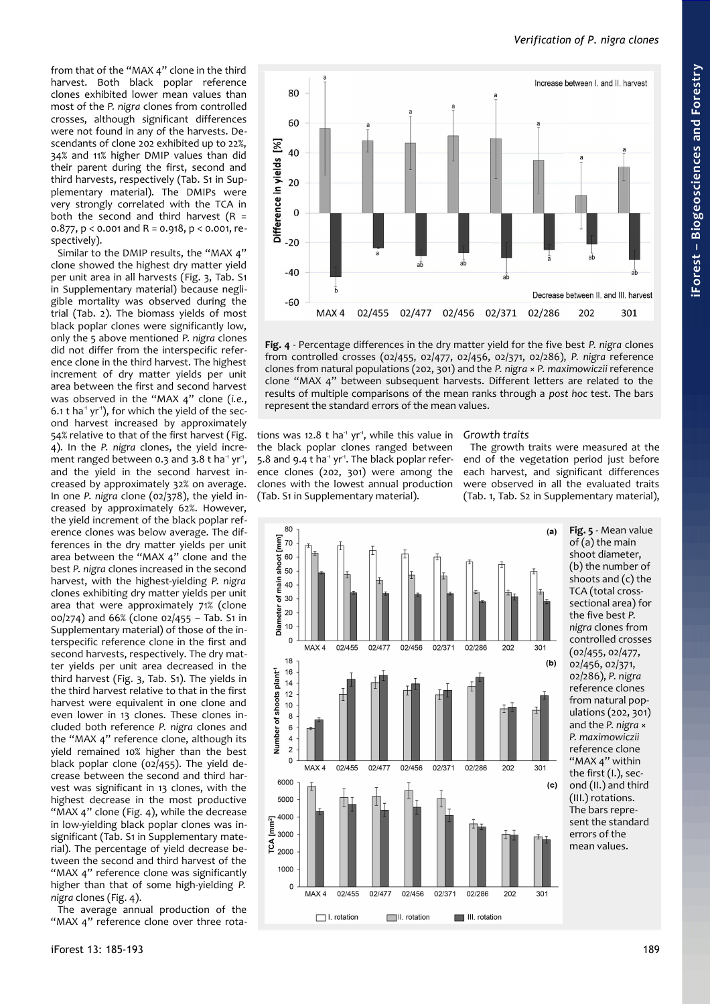from that of the "MAX 4" clone in the third harvest. Both black poplar reference clones exhibited lower mean values than most of the *P. nigra* clones from controlled crosses, although significant differences were not found in any of the harvests. Descendants of clone 202 exhibited up to 22%, 34% and 11% higher DMIP values than did their parent during the first, second and third harvests, respectively (Tab. S1 in Supplementary material). The DMIPs were very strongly correlated with the TCA in both the second and third harvest  $(R =$ 0.877, p < 0.001 and R = 0.918, p < 0.001, respectively).

Similar to the DMIP results, the "MAX 4" clone showed the highest dry matter yield per unit area in all harvests [\(Fig. 3,](#page-2-1) Tab. S1 in Supplementary material) because negligible mortality was observed during the trial [\(Tab. 2\)](#page-3-1). The biomass yields of most black poplar clones were significantly low, only the 5 above mentioned *P. nigra* clones did not differ from the interspecific reference clone in the third harvest. The highest increment of dry matter yields per unit area between the first and second harvest was observed in the "MAX 4" clone (*i.e.*, 6.1 t ha<sup>1</sup> yr<sup>1</sup>), for which the yield of the second harvest increased by approximately 54% relative to that of the first harvest ([Fig.](#page-4-0) [4\)](#page-4-0). In the *P. nigra* clones, the yield increment ranged between 0.3 and 3.8 t ha<sup>1</sup> yr<sup>1</sup>, and the yield in the second harvest increased by approximately 32% on average. In one *P. nigra* clone (02/378), the yield increased by approximately 62%. However, the yield increment of the black poplar reference clones was below average. The differences in the dry matter yields per unit area between the "MAX 4" clone and the best *P. nigra* clones increased in the second harvest, with the highest-yielding *P. nigra* clones exhibiting dry matter yields per unit area that were approximately 71% (clone 00/274) and 66% (clone 02/455 – Tab. S1 in Supplementary material) of those of the interspecific reference clone in the first and second harvests, respectively. The dry matter yields per unit area decreased in the third harvest [\(Fig. 3,](#page-2-1) Tab. S1). The yields in the third harvest relative to that in the first harvest were equivalent in one clone and even lower in 13 clones. These clones included both reference *P. nigra* clones and the "MAX 4" reference clone, although its yield remained 10% higher than the best black poplar clone ( $o2/455$ ). The yield decrease between the second and third harvest was significant in 13 clones, with the highest decrease in the most productive "MAX 4" clone [\(Fig. 4\)](#page-4-0), while the decrease in low-yielding black poplar clones was insignificant (Tab. S1 in Supplementary material). The percentage of yield decrease between the second and third harvest of the "MAX 4" reference clone was significantly higher than that of some high-yielding *P. nigra* clones [\(Fig. 4\)](#page-4-0).

The average annual production of the "MAX 4" reference clone over three rota-



<span id="page-4-0"></span>**Fig. 4** - Percentage differences in the dry matter yield for the five best *P. nigra* clones from controlled crosses (02/455, 02/477, 02/456, 02/371, 02/286), *P. nigra* reference clones from natural populations (202, 301) and the *P. nigra* × *P. maximowiczii* reference clone "MAX 4" between subsequent harvests. Different letters are related to the results of multiple comparisons of the mean ranks through a *post hoc* test. The bars represent the standard errors of the mean values.

tions was 12.8 t ha<sup>1</sup> yr<sup>1</sup>, while this value in the black poplar clones ranged between 5.8 and 9.4  $t$  ha<sup>-1</sup> yr<sup>-1</sup>. The black poplar reference clones (202, 301) were among the clones with the lowest annual production (Tab. S1 in Supplementary material).

# *Growth traits*

The growth traits were measured at the end of the vegetation period just before each harvest, and significant differences were observed in all the evaluated traits [\(Tab. 1,](#page-3-0) Tab. S2 in Supplementary material),



<span id="page-4-1"></span>**Fig. 5** - Mean value  $of (a)$  the main shoot diameter, (b) the number of shoots and  $(c)$  the TCA (total crosssectional area) for the five best *P. nigra* clones from controlled crosses (02/455, 02/477, 02/456, 02/371, 02/286), *P. nigra* reference clones from natural populations (202, 301) and the *P. nigra* × *P. maximowiczii* reference clone "MAX 4" within the first (I.), second (II.) and third (III.) rotations. The bars represent the standard errors of the mean values.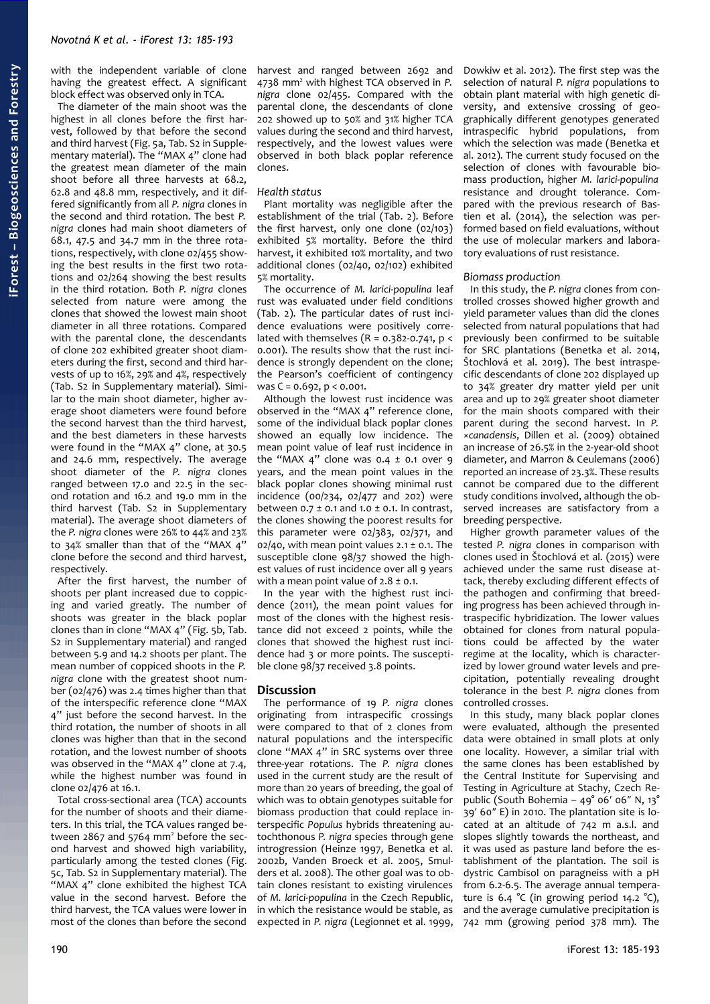with the independent variable of clone having the greatest effect. A significant block effect was observed only in TCA.

The diameter of the main shoot was the highest in all clones before the first harvest, followed by that before the second and third harvest [\(Fig. 5a](#page-4-1), Tab. S2 in Supplementary material). The "MAX 4" clone had the greatest mean diameter of the main shoot before all three harvests at 68.2, 62.8 and 48.8 mm, respectively, and it differed significantly from all *P. nigra* clones in the second and third rotation. The best *P. nigra* clones had main shoot diameters of 68.1, 47.5 and 34.7 mm in the three rotations, respectively, with clone 02/455 showing the best results in the first two rotations and 02/264 showing the best results in the third rotation. Both *P. nigra* clones selected from nature were among the clones that showed the lowest main shoot diameter in all three rotations. Compared with the parental clone, the descendants of clone 202 exhibited greater shoot diameters during the first, second and third harvests of up to 16%, 29% and 4%, respectively (Tab. S2 in Supplementary material). Similar to the main shoot diameter, higher average shoot diameters were found before the second harvest than the third harvest, and the best diameters in these harvests were found in the "MAX 4" clone, at 30.5 and 24.6 mm, respectively. The average shoot diameter of the *P. nigra* clones ranged between 17.0 and 22.5 in the second rotation and 16.2 and 19.0 mm in the third harvest (Tab. S2 in Supplementary material). The average shoot diameters of the *P. nigra* clones were 26% to 44% and 23% to 34% smaller than that of the "MAX 4" clone before the second and third harvest, respectively.

After the first harvest, the number of shoots per plant increased due to coppicing and varied greatly. The number of shoots was greater in the black poplar clones than in clone "MAX 4" [\(Fig. 5b](#page-4-1), Tab. S2 in Supplementary material) and ranged between 5.9 and 14.2 shoots per plant. The mean number of coppiced shoots in the *P. nigra* clone with the greatest shoot number (02/476) was 2.4 times higher than that of the interspecific reference clone "MAX 4" just before the second harvest. In the third rotation, the number of shoots in all clones was higher than that in the second rotation, and the lowest number of shoots was observed in the "MAX 4" clone at 7.4, while the highest number was found in clone 02/476 at 16.1.

Total cross-sectional area (TCA) accounts for the number of shoots and their diameters. In this trial, the TCA values ranged between 2867 and 5764 mm<sup>2</sup> before the second harvest and showed high variability, particularly among the tested clones [\(Fig.](#page-4-1) [5c](#page-4-1), Tab. S2 in Supplementary material). The "MAX 4" clone exhibited the highest TCA value in the second harvest. Before the third harvest, the TCA values were lower in most of the clones than before the second

harvest and ranged between 2692 and 4738 mm<sup>2</sup> with highest TCA observed in P. *nigra* clone 02/455. Compared with the parental clone, the descendants of clone 202 showed up to 50% and 31% higher TCA values during the second and third harvest, respectively, and the lowest values were observed in both black poplar reference clones.

#### *Health status*

Plant mortality was negligible after the establishment of the trial [\(Tab. 2\)](#page-3-1). Before the first harvest, only one clone (02/103) exhibited 5% mortality. Before the third harvest, it exhibited 10% mortality, and two additional clones (02/40, 02/102) exhibited 5% mortality.

The occurrence of *M. larici-populina* leaf rust was evaluated under field conditions [\(Tab. 2\)](#page-3-1). The particular dates of rust incidence evaluations were positively correlated with themselves ( $R = 0.382 - 0.741$ ,  $p <$ 0.001). The results show that the rust incidence is strongly dependent on the clone; the Pearson's coefficient of contingency was  $C = 0.692$ ,  $p < 0.001$ .

Although the lowest rust incidence was observed in the "MAX 4" reference clone, some of the individual black poplar clones showed an equally low incidence. The mean point value of leaf rust incidence in the "MAX 4" clone was  $0.4 \pm 0.1$  over 9 years, and the mean point values in the black poplar clones showing minimal rust incidence (00/234, 02/477 and 202) were between  $0.7 \pm 0.1$  and  $1.0 \pm 0.1$ . In contrast, the clones showing the poorest results for this parameter were 02/383, 02/371, and 02/40, with mean point values  $2.1 \pm 0.1$ . The susceptible clone 98/37 showed the highest values of rust incidence over all 9 years with a mean point value of  $2.8 \pm 0.1$ .

In the year with the highest rust incidence (2011), the mean point values for most of the clones with the highest resistance did not exceed 2 points, while the clones that showed the highest rust incidence had 3 or more points. The susceptible clone 98/37 received 3.8 points.

# **Discussion**

The performance of 19 *P. nigra* clones originating from intraspecific crossings were compared to that of 2 clones from natural populations and the interspecific clone "MAX 4" in SRC systems over three three-year rotations. The *P. nigra* clones used in the current study are the result of more than 20 years of breeding, the goal of which was to obtain genotypes suitable for biomass production that could replace interspecific *Populus* hybrids threatening autochthonous *P. nigra* species through gene introgression (Heinze 1997, Benetka et al. 2002b, Vanden Broeck et al. 2005, Smulders et al. 2008). The other goal was to obtain clones resistant to existing virulences of *M. larici-populina* in the Czech Republic, in which the resistance would be stable, as expected in *P. nigra* (Legionnet et al. 1999, Dowkiw et al. 2012). The first step was the selection of natural *P. nigra* populations to obtain plant material with high genetic diversity, and extensive crossing of geographically different genotypes generated intraspecific hybrid populations, from which the selection was made (Benetka et al. 2012). The current study focused on the selection of clones with favourable biomass production, higher *M. larici-populina* resistance and drought tolerance. Compared with the previous research of Bastien et al. (2014), the selection was performed based on field evaluations, without the use of molecular markers and laboratory evaluations of rust resistance.

#### *Biomass production*

In this study, the *P. nigra* clones from controlled crosses showed higher growth and yield parameter values than did the clones selected from natural populations that had previously been confirmed to be suitable for SRC plantations (Benetka et al. 2014, Štochlová et al. 2019). The best intraspecific descendants of clone 202 displayed up to 34% greater dry matter yield per unit area and up to 29% greater shoot diameter for the main shoots compared with their parent during the second harvest. In *P.* ×*canadensis*, Dillen et al. (2009) obtained an increase of 26.5% in the 2-year-old shoot diameter, and Marron & Ceulemans (2006) reported an increase of 23.3%. These results cannot be compared due to the different study conditions involved, although the observed increases are satisfactory from a breeding perspective.

Higher growth parameter values of the tested *P. nigra* clones in comparison with clones used in Štochlová et al. (2015) were achieved under the same rust disease attack, thereby excluding different effects of the pathogen and confirming that breeding progress has been achieved through intraspecific hybridization. The lower values obtained for clones from natural populations could be affected by the water regime at the locality, which is characterized by lower ground water levels and precipitation, potentially revealing drought tolerance in the best *P. nigra* clones from controlled crosses.

In this study, many black poplar clones were evaluated, although the presented data were obtained in small plots at only one locality. However, a similar trial with the same clones has been established by the Central Institute for Supervising and Testing in Agriculture at Stachy, Czech Republic (South Bohemia – 49° 06′ 06″ N, 13° 39′ 60″ E) in 2010. The plantation site is located at an altitude of 742 m a.s.l. and slopes slightly towards the northeast, and it was used as pasture land before the establishment of the plantation. The soil is dystric Cambisol on paragneiss with a pH from 6.2-6.5. The average annual temperature is 6.4  $^{\circ}$ C (in growing period 14.2  $^{\circ}$ C), and the average cumulative precipitation is 742 mm (growing period 378 mm). The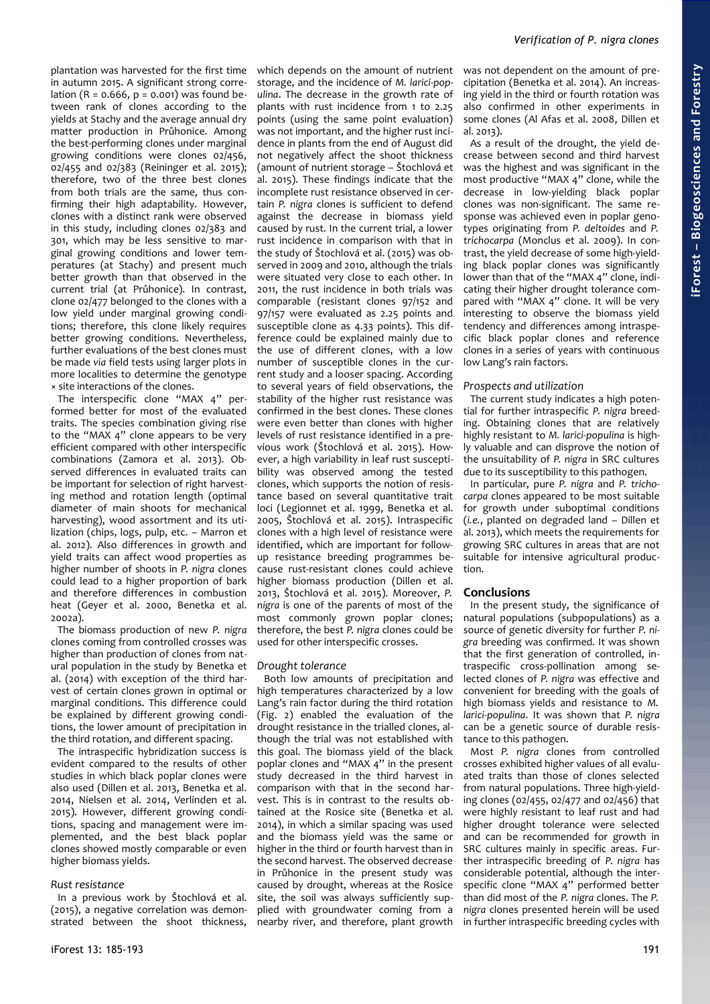*Verification of P. nigra clones*

plantation was harvested for the first time in autumn 2015. A significant strong correlation ( $R = 0.666$ ,  $p = 0.001$ ) was found between rank of clones according to the yields at Stachy and the average annual dry matter production in Průhonice. Among the best-performing clones under marginal growing conditions were clones 02/456, 02/455 and 02/383 (Reininger et al. 2015); therefore, two of the three best clones from both trials are the same, thus confirming their high adaptability. However, clones with a distinct rank were observed in this study, including clones 02/383 and 301, which may be less sensitive to marginal growing conditions and lower temperatures (at Stachy) and present much better growth than that observed in the current trial (at Průhonice). In contrast, clone 02/477 belonged to the clones with a low yield under marginal growing conditions; therefore, this clone likely requires better growing conditions. Nevertheless, further evaluations of the best clones must be made *via* field tests using larger plots in more localities to determine the genotype × site interactions of the clones.

The interspecific clone "MAX 4" performed better for most of the evaluated traits. The species combination giving rise to the "MAX 4" clone appears to be very efficient compared with other interspecific combinations (Zamora et al. 2013). Observed differences in evaluated traits can be important for selection of right harvesting method and rotation length (optimal diameter of main shoots for mechanical harvesting), wood assortment and its utilization (chips, logs, pulp, etc. – Marron et al. 2012). Also differences in growth and yield traits can affect wood properties as higher number of shoots in *P. nigra* clones could lead to a higher proportion of bark and therefore differences in combustion heat (Geyer et al. 2000, Benetka et al. 2002a).

The biomass production of new *P. nigra* clones coming from controlled crosses was higher than production of clones from natural population in the study by Benetka et al. (2014) with exception of the third harvest of certain clones grown in optimal or marginal conditions. This difference could be explained by different growing conditions, the lower amount of precipitation in the third rotation, and different spacing.

The intraspecific hybridization success is evident compared to the results of other studies in which black poplar clones were also used (Dillen et al. 2013, Benetka et al. 2014, Nielsen et al. 2014, Verlinden et al. 2015). However, different growing conditions, spacing and management were implemented, and the best black poplar clones showed mostly comparable or even higher biomass yields.

#### *Rust resistance*

In a previous work by Štochlová et al. (2015), a negative correlation was demonstrated between the shoot thickness, which depends on the amount of nutrient storage, and the incidence of *M. larici-populina*. The decrease in the growth rate of plants with rust incidence from 1 to 2.25 points (using the same point evaluation) was not important, and the higher rust incidence in plants from the end of August did not negatively affect the shoot thickness (amount of nutrient storage – Štochlová et al. 2015). These findings indicate that the incomplete rust resistance observed in certain *P. nigra* clones is sufficient to defend against the decrease in biomass yield caused by rust. In the current trial, a lower rust incidence in comparison with that in the study of Štochlová et al. (2015) was observed in 2009 and 2010, although the trials were situated very close to each other. In 2011, the rust incidence in both trials was comparable (resistant clones 97/152 and 97/157 were evaluated as 2.25 points and susceptible clone as 4.33 points). This difference could be explained mainly due to the use of different clones, with a low number of susceptible clones in the current study and a looser spacing. According to several years of field observations, the stability of the higher rust resistance was confirmed in the best clones. These clones were even better than clones with higher levels of rust resistance identified in a previous work (Štochlová et al. 2015). However, a high variability in leaf rust susceptibility was observed among the tested clones, which supports the notion of resistance based on several quantitative trait loci (Legionnet et al. 1999, Benetka et al. 2005, Štochlová et al. 2015). Intraspecific clones with a high level of resistance were identified, which are important for followup resistance breeding programmes because rust-resistant clones could achieve higher biomass production (Dillen et al. 2013, Štochlová et al. 2015). Moreover, *P. nigra* is one of the parents of most of the most commonly grown poplar clones; therefore, the best *P. nigra* clones could be used for other interspecific crosses.

#### *Drought tolerance*

Both low amounts of precipitation and high temperatures characterized by a low Lang's rain factor during the third rotation [\(Fig. 2\)](#page-2-0) enabled the evaluation of the drought resistance in the trialled clones, although the trial was not established with this goal. The biomass yield of the black poplar clones and "MAX 4" in the present study decreased in the third harvest in comparison with that in the second harvest. This is in contrast to the results obtained at the Rosice site (Benetka et al. 2014), in which a similar spacing was used and the biomass yield was the same or higher in the third or fourth harvest than in the second harvest. The observed decrease in Průhonice in the present study was caused by drought, whereas at the Rosice site, the soil was always sufficiently supplied with groundwater coming from a nearby river, and therefore, plant growth

As a result of the drought, the yield decrease between second and third harvest was the highest and was significant in the most productive "MAX 4" clone, while the decrease in low-yielding black poplar clones was non-significant. The same response was achieved even in poplar genotypes originating from *P. deltoides* and *P. trichocarpa* (Monclus et al. 2009). In contrast, the yield decrease of some high-yielding black poplar clones was significantly lower than that of the "MAX 4" clone, indicating their higher drought tolerance compared with "MAX 4" clone. It will be very interesting to observe the biomass yield tendency and differences among intraspecific black poplar clones and reference clones in a series of years with continuous low Lang's rain factors.

#### *Prospects and utilization*

The current study indicates a high potential for further intraspecific *P. nigra* breeding. Obtaining clones that are relatively highly resistant to *M. larici-populina* is highly valuable and can disprove the notion of the unsuitability of *P. nigra* in SRC cultures due to its susceptibility to this pathogen.

In particular, pure *P. nigra* and *P. trichocarpa* clones appeared to be most suitable for growth under suboptimal conditions (*i.e.*, planted on degraded land – Dillen et al. 2013), which meets the requirements for growing SRC cultures in areas that are not suitable for intensive agricultural production.

#### **Conclusions**

In the present study, the significance of natural populations (subpopulations) as a source of genetic diversity for further *P. nigra* breeding was confirmed. It was shown that the first generation of controlled, intraspecific cross-pollination among selected clones of *P. nigra* was effective and convenient for breeding with the goals of high biomass yields and resistance to *M. larici-populina*. It was shown that *P. nigra* can be a genetic source of durable resistance to this pathogen.

Most *P. nigra* clones from controlled crosses exhibited higher values of all evaluated traits than those of clones selected from natural populations. Three high-yielding clones (02/455, 02/477 and 02/456) that were highly resistant to leaf rust and had higher drought tolerance were selected and can be recommended for growth in SRC cultures mainly in specific areas. Further intraspecific breeding of *P. nigra* has considerable potential, although the interspecific clone "MAX 4" performed better than did most of the *P. nigra* clones. The *P. nigra* clones presented herein will be used in further intraspecific breeding cycles with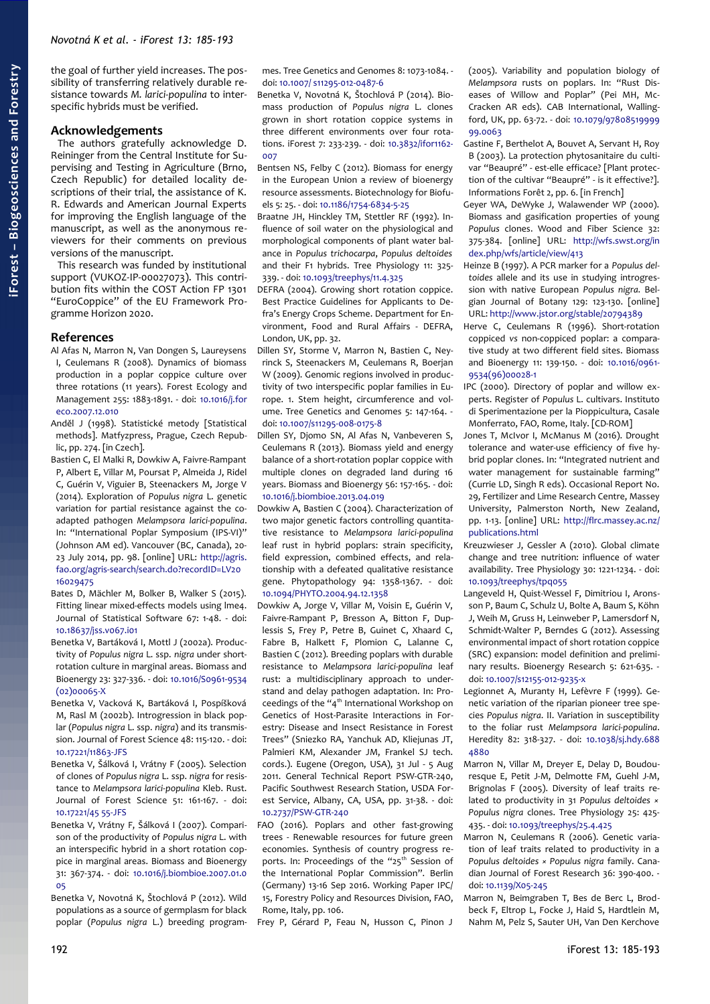the goal of further yield increases. The possibility of transferring relatively durable resistance towards *M. larici-populina* to interspecific hybrids must be verified.

# **Acknowledgements**

The authors gratefully acknowledge D. Reininger from the Central Institute for Supervising and Testing in Agriculture (Brno, Czech Republic) for detailed locality descriptions of their trial, the assistance of K. R. Edwards and American Journal Experts for improving the English language of the manuscript, as well as the anonymous reviewers for their comments on previous versions of the manuscript.

This research was funded by institutional support (VUKOZ-IP-00027073). This contribution fits within the COST Action FP 1301 "EuroCoppice" of the EU Framework Programme Horizon 2020.

# **References**

- Al Afas N, Marron N, Van Dongen S, Laureysens I, Ceulemans R (2008). Dynamics of biomass production in a poplar coppice culture over three rotations (11 years). Forest Ecology and Management 255: 1883-1891. - doi: [10.1016/j.for](https://doi.org/10.1016/j.foreco.2007.12.010) [eco.2007.12.010](https://doi.org/10.1016/j.foreco.2007.12.010)
- Anděl J (1998). Statistické metody [Statistical methods]. Matfyzpress, Prague, Czech Republic, pp. 274. [in Czech].
- Bastien C, El Malki R, Dowkiw A, Faivre-Rampant P, Albert E, Villar M, Poursat P, Almeida J, Ridel C, Guérin V, Viguier B, Steenackers M, Jorge V (2014). Exploration of *Populus nigra* L. genetic variation for partial resistance against the coadapted pathogen *Melampsora larici-populina*. In: "International Poplar Symposium (IPS-VI)" (Johnson AM ed). Vancouver (BC, Canada), 20- 23 July 2014, pp. 98. [online] URL: [http://agris.](http://agris.fao.org/agris-search/search.do?recordID=LV2016029475) [fao.org/agris-search/search.do?recordID=LV20](http://agris.fao.org/agris-search/search.do?recordID=LV2016029475) [16029475](http://agris.fao.org/agris-search/search.do?recordID=LV2016029475)
- Bates D, Mächler M, Bolker B, Walker S (2015). Fitting linear mixed-effects models using lme4. Journal of Statistical Software 67: 1-48. - doi: [10.18637/jss.v067.i01](https://doi.org/10.18637/jss.v067.i01)
- Benetka V, Bartáková I, Mottl J (2002a). Productivity of *Populus nigra* L. ssp. *nigra* under shortrotation culture in marginal areas. Biomass and Bioenergy 23: 327-336. - doi: [10.1016/S0961-9534](https://doi.org/10.1016/S0961-9534(02)00065-X)  $(02)00065-X$
- Benetka V, Vacková K, Bartáková I, Pospíšková M, Rasl M (2002b). Introgression in black poplar (*Populus nigra* L. ssp. *nigra*) and its transmission. Journal of Forest Science 48: 115-120. - doi: [10.17221/11863-JFS](https://doi.org/10.17221/11863-JFS)
- Benetka V, Šálková I, Vrátny F (2005). Selection of clones of *Populus nigra* L. ssp. *nigra* for resistance to *Melampsora larici-populina* Kleb. Rust. Journal of Forest Science 51: 161-167. - doi: [10.17221/45 55-JFS](https://doi.org/10.17221/4555-JFS)
- Benetka V, Vrátny F, Šálková I (2007). Comparison of the productivity of *Populus nigra* L. with an interspecific hybrid in a short rotation coppice in marginal areas. Biomass and Bioenergy 31: 367-374. - doi: [10.1016/j.biombioe.2007.01.0](https://doi.org/10.1016/j.biombioe.2007.01.005) [05](https://doi.org/10.1016/j.biombioe.2007.01.005)
- Benetka V, Novotná K, Štochlová P (2012). Wild populations as a source of germplasm for black poplar (*Populus nigra* L.) breeding program-

mes. Tree Genetics and Genomes 8: 1073-1084. doi: [10.1007/ s11295-012-0487-6](https://doi.org/10.1007/s11295-012-0487-6)

Benetka V, Novotná K, Štochlová P (2014). Biomass production of *Populus nigra* L. clones grown in short rotation coppice systems in three different environments over four rotations. iForest 7: 233-239. - doi: [10.3832/ifor1162-](https://doi.org/10.3832/ifor1162-007) [007](https://doi.org/10.3832/ifor1162-007)

Bentsen NS, Felby C (2012). Biomass for energy in the European Union a review of bioenergy resource assessments. Biotechnology for Biofuels 5: 25. - doi: [10.1186/1754-6834-5-25](https://doi.org/10.1186/1754-6834-5-25)

Braatne JH, Hinckley TM, Stettler RF (1992). Influence of soil water on the physiological and morphological components of plant water balance in *Populus trichocarpa*, *Populus deltoides* and their F1 hybrids. Tree Physiology 11: 325- 339. - doi: [10.1093/treephys/11.4.325](https://doi.org/10.1093/treephys/11.4.325)

DEFRA (2004). Growing short rotation coppice. Best Practice Guidelines for Applicants to Defra's Energy Crops Scheme. Department for Environment, Food and Rural Affairs - DEFRA, London, UK, pp. 32.

Dillen SY, Storme V, Marron N, Bastien C, Neyrinck S, Steenackers M, Ceulemans R, Boerjan W (2009). Genomic regions involved in productivity of two interspecific poplar families in Europe. 1. Stem height, circumference and volume. Tree Genetics and Genomes 5: 147-164. doi: [10.1007/s11295-008-0175-8](https://doi.org/10.1007/s11295-008-0175-8)

Dillen SY, Djomo SN, Al Afas N, Vanbeveren S, Ceulemans R (2013). Biomass yield and energy balance of a short-rotation poplar coppice with multiple clones on degraded land during 16 years. Biomass and Bioenergy 56: 157-165. - doi: [10.1016/j.biombioe.2013.04.019](https://doi.org/10.1016/j.biombioe.2013.04.019)

- Dowkiw A, Bastien C (2004). Characterization of two major genetic factors controlling quantitative resistance to *Melampsora larici-populina* leaf rust in hybrid poplars: strain specificity, field expression, combined effects, and relationship with a defeated qualitative resistance gene. Phytopathology 94: 1358-1367. - doi: [10.1094/PHYTO.2004.94.12.1358](https://doi.org/10.1094/PHYTO.2004.94.12.1358)
- Dowkiw A, Jorge V, Villar M, Voisin E, Guérin V, Faivre-Rampant P, Bresson A, Bitton F, Duplessis S, Frey P, Petre B, Guinet C, Xhaard C, Fabre B, Halkett F, Plomion C, Lalanne C, Bastien C (2012). Breeding poplars with durable resistance to *Melampsora larici-populina* leaf rust: a multidisciplinary approach to understand and delay pathogen adaptation. In: Proceedings of the "4th International Workshop on Genetics of Host-Parasite Interactions in Forestry: Disease and Insect Resistance in Forest Trees" (Sniezko RA, Yanchuk AD, Kliejunas JT, Palmieri KM, Alexander JM, Frankel SJ tech. cords.). Eugene (Oregon, USA), 31 Jul - 5 Aug 2011. General Technical Report PSW-GTR-240, Pacific Southwest Research Station, USDA Forest Service, Albany, CA, USA, pp. 31-38. - doi: [10.2737/PSW-GTR-240](https://doi.org/10.2737/PSW-GTR-240)
- FAO (2016). Poplars and other fast-growing trees - Renewable resources for future green economies. Synthesis of country progress reports. In: Proceedings of the "25<sup>th</sup> Session of the International Poplar Commission". Berlin (Germany) 13-16 Sep 2016. Working Paper IPC/ 15, Forestry Policy and Resources Division, FAO, Rome, Italy, pp. 106.

Frey P, Gérard P, Feau N, Husson C, Pinon J

(2005). Variability and population biology of *Melampsora* rusts on poplars. In: "Rust Diseases of Willow and Poplar" (Pei MH, Mc-Cracken AR eds). CAB International, Wallingford, UK, pp. 63-72. - doi: [10.1079/97808519999](https://doi.org/10.1079/9780851999999.0063) [99.0063](https://doi.org/10.1079/9780851999999.0063)

Gastine F, Berthelot A, Bouvet A, Servant H, Roy B (2003). La protection phytosanitaire du cultivar "Beaupré" - est-elle efficace? [Plant protection of the cultivar "Beaupré" - is it effective?]. Informations Forêt 2, pp. 6. [in French]

Geyer WA, DeWyke J, Walawender WP (2000). Biomass and gasification properties of young *Populus* clones. Wood and Fiber Science 32: 375-384. [online] URL: [http://wfs.swst.org/in](http://wfs.swst.org/index.php/wfs/article/view/413) [dex.php/wfs/article/view/413](http://wfs.swst.org/index.php/wfs/article/view/413)

- Heinze B (1997). A PCR marker for a *Populus deltoides* allele and its use in studying introgression with native European *Populus nigra*. Belgian Journal of Botany 129: 123-130. [online] URL:<http://www.jstor.org/stable/20794389>
- Herve C, Ceulemans R (1996). Short-rotation coppiced *vs* non-coppiced poplar: a comparative study at two different field sites. Biomass and Bioenergy 11: 139-150. - doi: [10.1016/0961-](https://doi.org/10.1016/0961-9534(96)00028-1) [9534\(96\)00028-1](https://doi.org/10.1016/0961-9534(96)00028-1)
- IPC (2000). Directory of poplar and willow experts. Register of *Populus* L. cultivars. Instituto di Sperimentazione per la Pioppicultura, Casale Monferrato, FAO, Rome, Italy. [CD-ROM]
- Jones T, McIvor I, McManus M (2016). Drought tolerance and water-use efficiency of five hybrid poplar clones. In: "Integrated nutrient and water management for sustainable farming" (Currie LD, Singh R eds). Occasional Report No. 29, Fertilizer and Lime Research Centre, Massey University, Palmerston North, New Zealand, pp. 1-13. [online] URL: [http://flrc.massey.ac.nz/](http://flrc.massey.ac.nz/publications.html) [publications.html](http://flrc.massey.ac.nz/publications.html)
- Kreuzwieser J, Gessler A (2010). Global climate change and tree nutrition: influence of water availability. Tree Physiology 30: 1221-1234. - doi: [10.1093/treephys/tpq055](https://doi.org/10.1093/treephys/tpq055)
- Langeveld H, Quist-Wessel F, Dimitriou I, Aronsson P, Baum C, Schulz U, Bolte A, Baum S, Köhn J, Weih M, Gruss H, Leinweber P, Lamersdorf N, Schmidt-Walter P, Berndes G (2012). Assessing environmental impact of short rotation coppice (SRC) expansion: model definition and preliminary results. Bioenergy Research 5: 621-635. doi: [10.1007/s12155-012-9235-x](https://doi.org/10.1007/s12155-012-9235-x)
- Legionnet A, Muranty H, Lefèvre F (1999). Genetic variation of the riparian pioneer tree species *Populus nigra*. II. Variation in susceptibility to the foliar rust *Melampsora larici-populina*. Heredity 82: 318-327. - doi: [10.1038/sj.hdy.688](https://doi.org/10.1038/sj.hdy.6884880) [4880](https://doi.org/10.1038/sj.hdy.6884880)
- Marron N, Villar M, Dreyer E, Delay D, Boudouresque E, Petit J-M, Delmotte FM, Guehl J-M, Brignolas F (2005). Diversity of leaf traits related to productivity in 31 *Populus deltoides × Populus nigra* clones. Tree Physiology 25: 425- 435. - doi: [10.1093/treephys/25.4.425](https://doi.org/10.1093/treephys/25.4.425)
- Marron N, Ceulemans R (2006). Genetic variation of leaf traits related to productivity in a *Populus deltoides × Populus nigra* family. Canadian Journal of Forest Research 36: 390-400. doi: [10.1139/X05-245](https://doi.org/10.1139/X05-245)
- Marron N, Beimgraben T, Bes de Berc L, Brodbeck F, Eltrop L, Focke J, Haid S, Hardtlein M, Nahm M, Pelz S, Sauter UH, Van Den Kerchove